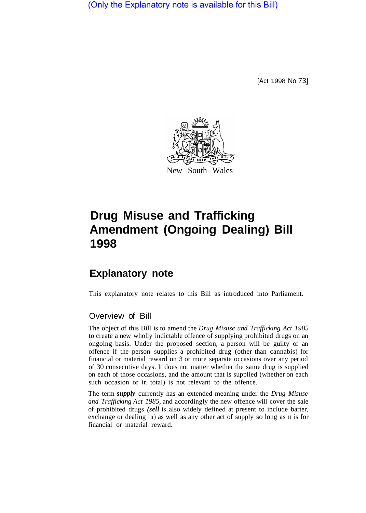(Only the Explanatory note is available for this Bill)

[Act 1998 No 73]



## **Drug Misuse and Trafficking Amendment (Ongoing Dealing) Bill 1998**

## **Explanatory note**

This explanatory note relates to this Bill as introduced into Parliament.

## Overview of Bill

The object of this Bill is to amend the *Drug Misuse and Trafficking Act 1985*  to create a new wholly indictable offence of supplying prohibited drugs on an ongoing basis. Under the proposed section, a person will be guilty of an offence if the person supplies a prohibited drug (other than cannabis) for financial or material reward on 3 or more separate occasions over any period of 30 consecutive days. It does not matter whether the same drug is supplied on each of those occasions, and the amount that is supplied (whether on each such occasion or in total) is not relevant to the offence.

The term *supply* currently has an extended meaning under the *Drug Misuse and Trafficking Act 1985,* and accordingly the new offence will cover the sale of prohibited drugs *(sell* is also widely defined at present to include barter, exchange or dealing in) as well as any other act of supply so long as it is for financial or material reward.